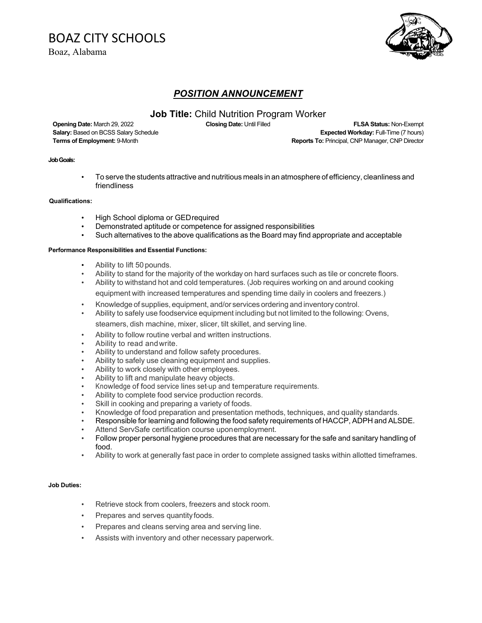# BOAZ CITY SCHOOLS

Boaz, Alabama



## *POSITION ANNOUNCEMENT*

## **Job Title:** Child Nutrition Program Worker

**Opening Date:** March 29, 2022 **Closing Date:** Until Filled **FLSA Status:** Non-Exempt **Salary:** Based on BCSS Salary Schedule **Expected Workday:** Full-Time (7 hours) **Terms of Employment:** 9-Month **Reports To: Principal, CNP Manager, CNP Director Reports To: Principal, CNP Manager, CNP Director** 

#### **Job Goals:**

• To serve the students attractive and nutritious meals in an atmosphere of efficiency, cleanliness and friendliness

#### **Qualifications:**

- High School diploma or GEDrequired
- Demonstrated aptitude or competence for assigned responsibilities
- Such alternatives to the above qualifications as the Board may find appropriate and acceptable

#### **Performance Responsibilities and Essential Functions:**

- Ability to lift 50 pounds.
- Ability to stand for the majority of the workday on hard surfaces such as tile or concrete floors.
- Ability to withstand hot and cold temperatures. (Job requires working on and around cooking equipment with increased temperatures and spending time daily in coolers and freezers.)
- Knowledge of supplies, equipment, and/or services ordering and inventory control.
- Ability to safely use foodservice equipment including but not limited to the following: Ovens, steamers, dish machine, mixer, slicer, tilt skillet, and serving line.
	- Ability to follow routine verbal and written instructions.
- Ability to read and write.
- Ability to understand and follow safety procedures.
- Ability to safely use cleaning equipment and supplies.
- Ability to work closely with other employees.
- Ability to lift and manipulate heavy objects.
- Knowledge of food service lines set-up and temperature requirements.
- Ability to complete food service production records.
- Skill in cooking and preparing a variety of foods.
- Knowledge of food preparation and presentation methods, techniques, and quality standards.
- Responsible for learning and following the food safety requirements of HACCP, ADPH and ALSDE.
- Attend ServSafe certification course uponemployment.
- Follow proper personal hygiene procedures that are necessary for the safe and sanitary handling of food.
- Ability to work at generally fast pace in order to complete assigned tasks within allotted timeframes.

#### **Job Duties:**

- Retrieve stock from coolers, freezers and stock room.
- Prepares and serves quantity foods.
- Prepares and cleans serving area and serving line.
- Assists with inventory and other necessary paperwork.